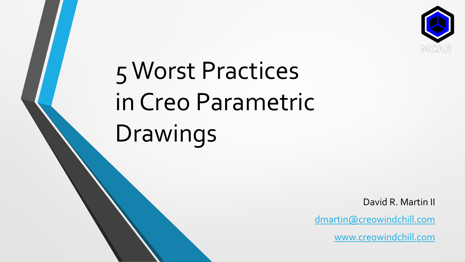

# 5 Worst Practices in Creo Parametric Drawings

David R. Martin II

[dmartin@creowindchill.com](mailto:dmartin@creowindchill.com)

[www.creowindchill.com](http://www.creowindchill.com/)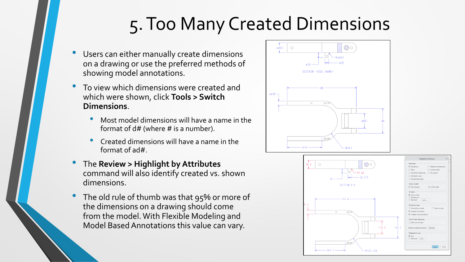## 5. Too Many Created Dimensions

- Users can either manually create dimensions on a drawing or use the preferred methods of showing model annotations.
- To view which dimensions were created and which were shown, click **Tools > Switch Dimensions**.
	- Most model dimensions will have a name in the format of d# (where # is a number).
	- Created dimensions will have a name in the format of ad#.
- The **Review > Highlight by Attributes**  command will also identify created vs. shown dimensions.
- The old rule of thumb was that 95% or more of the dimensions on a drawing should come from the model. With Flexible Modeling and Model Based Annotations this value can vary.



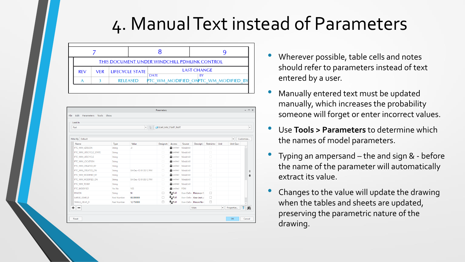#### 4. Manual Text instead of Parameters

|            | THIS DOCUMENT UNDER WINDCHILL PDMLINK CONTROL |                 |                                         |                                      |  |  |  |  |  |  |
|------------|-----------------------------------------------|-----------------|-----------------------------------------|--------------------------------------|--|--|--|--|--|--|
| <b>REV</b> | VER.                                          | LIFECYCLE STATE | <b>LAST CHANGE</b><br><b>DATE</b><br>BY |                                      |  |  |  |  |  |  |
|            |                                               | <b>RELEASED</b> |                                         | PTC WM MODIFIED ONPTC WM MODIFIED BY |  |  |  |  |  |  |

| Look In                       |                    |                       |                    |                    |        |                          |            |                          |                          |                      |
|-------------------------------|--------------------|-----------------------|--------------------|--------------------|--------|--------------------------|------------|--------------------------|--------------------------|----------------------|
| Part                          |                    | $\blacktriangleright$ | GEAR_MM_START_PART |                    |        |                          |            |                          |                          | $\blacktriangledown$ |
|                               |                    |                       |                    |                    |        |                          |            |                          |                          |                      |
| Filter By Default             |                    |                       |                    |                    |        |                          |            |                          | $\overline{\phantom{a}}$ | Customize            |
| Name                          | Type               | Value                 | Designate          | Access             | Source | Descriptio               | Restricted | Unit                     | Unit Quar                |                      |
| PTC_WM_VERSION                | <b>String</b>      | .0                    | $\Box$             | Locked Windchill   |        |                          | $\Box$     |                          |                          | A                    |
| PTC_WM_LIFECYCLE_STATE        | String             |                       | $\Box$             | Locked Windchill   |        |                          | $\Box$     |                          |                          |                      |
| PTC WM LIFECYCLE              | String             |                       | $\Box$             | Locked Windchill   |        |                          | $\Box$     |                          |                          |                      |
| PTC WM LOCATION               | String             |                       | $\Box$             | Locked Windchill   |        |                          | $\Box$     |                          |                          |                      |
| PTC WM CREATED BY             | String             |                       | $\Box$             | Locked Windchill   |        |                          | $\Box$     |                          |                          |                      |
| PTC_WM_CREATED_ON             | String             | 04-Dec-13 01:50:12 PM | $\Box$             | Locked Windchill   |        |                          | $\Box$     |                          |                          | 合                    |
| PTC_WM_MODIFIED_BY            | String             |                       | $\Box$             | Locked Windchill   |        |                          | $\Box$     |                          |                          |                      |
| PTC_WM_MODIFIED_ON            | String             | 04-Dec-13 01:50:12 PM | $\Box$             | Locked Windchill   |        |                          | $\Box$     |                          |                          |                      |
| PTC WM TEAM                   | String             |                       | $\Box$             | Locked Windchill   |        |                          | $\Box$     |                          |                          |                      |
| PTC MODIFIED                  | Yes No             | <b>YES</b>            | $\Box$             | <b>ALocked</b> PDM |        |                          | $\Box$     |                          |                          |                      |
| <b>PINION</b>                 | String             | N                     | П                  | <b>A</b> pFull     |        | User-Define Pinion or G  | $\Box$     |                          |                          |                      |
| LARGE GEAR D                  | <b>Real Number</b> | 60,000000             | □                  | <sup>8</sup> pFull |        | User-Define Gear (not pi | $\Box$     |                          |                          |                      |
| SMALL_GEAR_D                  | <b>Real Number</b> | 12.750000             | $\Box$             | <sup>2</sup> PFull |        | User-Define Pinion Norr  | $\Box$     |                          |                          |                      |
| ٠<br>$\overline{\phantom{0}}$ |                    |                       |                    |                    |        | Main                     |            | $\overline{\phantom{a}}$ | Properties               | 莭<br>$\blacksquare$  |

- Wherever possible, table cells and notes should refer to parameters instead of text entered by a user.
- Manually entered text must be updated manually, which increases the probability someone will forget or enter incorrect values.
- Use **Tools > Parameters** to determine which the names of model parameters.
- Typing an ampersand the and sign & before the name of the parameter will automatically extract its value.
- Changes to the value will update the drawing when the tables and sheets are updated, preserving the parametric nature of the drawing.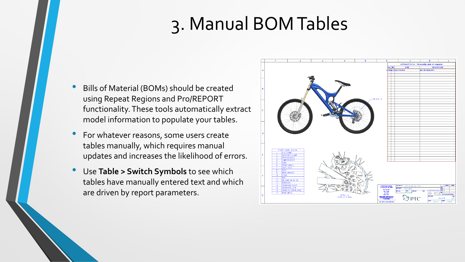## 3. Manual BOM Tables

- Bills of Material (BOMs) should be created using Repeat Regions and Pro/REPORT functionality. These tools automatically extract model information to populate your tables.
- For whatever reasons, some users create tables manually, which requires manual updates and increases the likelihood of errors.
- Use **Table > Switch Symbols** to see which tables have manually entered text and which are driven by report parameters.

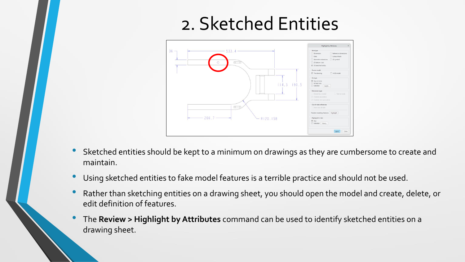### 2. Sketched Entities



- Sketched entities should be kept to a minimum on drawings as they are cumbersome to create and maintain.
- Using sketched entities to fake model features is a terrible practice and should not be used.
- Rather than sketching entities on a drawing sheet, you should open the model and create, delete, or edit definition of features.
- The **Review > Highlight by Attributes** command can be used to identify sketched entities on a drawing sheet.